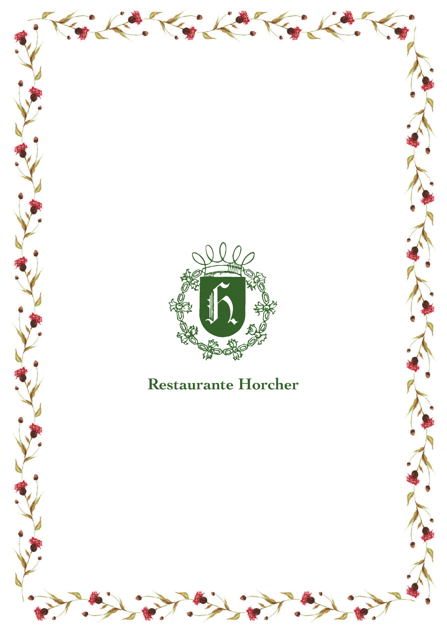

## **Restaurante Horcher**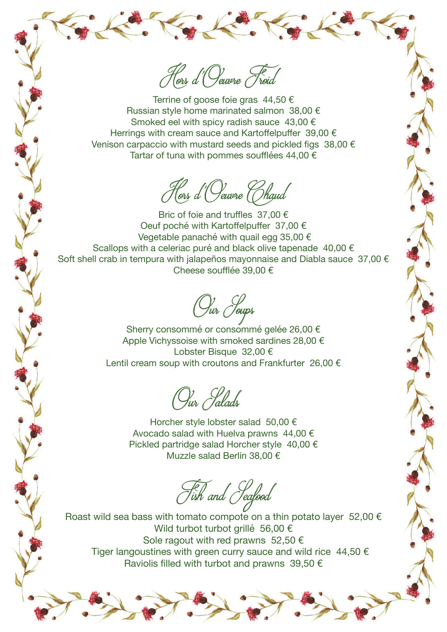Hors d'Oeuvre Froid

Terrine of goose foie gras  $44,50 \in$ Russian style home marinated salmon 38,00 € Smoked eel with spicy radish sauce 43,00 € Herrings with cream sauce and Kartoffelpuffer 39,00 € Venison carpaccio with mustard seeds and pickled figs 38,00 € Tartar of tuna with pommes soufflées 44,00  $\epsilon$ 

Hors d'Oeuvre (Chaud

Bric of foie and truffles 37,00 € Oeuf poché with Kartoffelpuffer 37,00 € Vegetable panaché with quail egg 35,00 € Scallops with a celeriac puré and black olive tapenade 40,00 € Soft shell crab in tempura with jalapeños mayonnaise and Diabla sauce 37,00 € Cheese soufflée 39,00 €

Our Soups

Sherry consommé or consommé gelée 26,00 € Apple Vichyssoise with smoked sardines 28,00 € Lobster Bisque 32,00 € Lentil cream soup with croutons and Frankfurter 26,00 €

Our *Calads* 

Horcher style lobster salad 50,00 € Avocado salad with Huelva prawns 44,00 € Pickled partridge salad Horcher style 40,00 € Muzzle salad Berlin 38,00 €

Fish and Seafood

Roast wild sea bass with tomato compote on a thin potato layer 52,00  $\epsilon$ Wild turbot turbot grillé 56,00 € Sole ragout with red prawns 52,50  $\epsilon$ Tiger langoustines with green curry sauce and wild rice  $44,50 \in$ Raviolis filled with turbot and prawns 39.50  $\epsilon$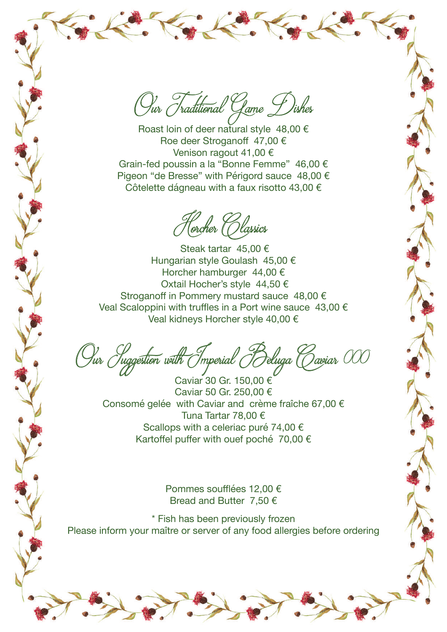Our Traditional Game Dishes

Roast loin of deer natural style  $48,00 \in$ Roe deer Stroganoff 47,00 € Venison ragout 41,00 € Grain-fed poussin a la "Bonne Femme" 46,00 € Pigeon "de Bresse" with Périgord sauce 48,00 € Côtelette dágneau with a faux risotto 43,00 €

Horcher (Olassics

 Steak tartar 45,00 € Hungarian style Goulash 45,00 € Horcher hamburger 44,00 € Oxtail Hocher's style 44,50 € Stroganoff in Pommery mustard sauce 48,00 € Veal Scaloppini with truffles in a Port wine sauce 43,00 € Veal kidneys Horcher style 40,00 €

Our *Juggestion with Imperial Beluga Caviar* 000

Caviar 30 Gr. 150,00 € Caviar 50 Gr. 250,00 € Consomé gelée with Caviar and crème fraîche 67,00 € Tuna Tartar 78,00 € Scallops with a celeriac puré 74.00 € Kartoffel puffer with ouef poché 70,00 €

Pommes soufflées 12,00 € Bread and Butter 7,50 €

\* Fish has been previously frozen Please inform your maître or server of any food allergies before ordering